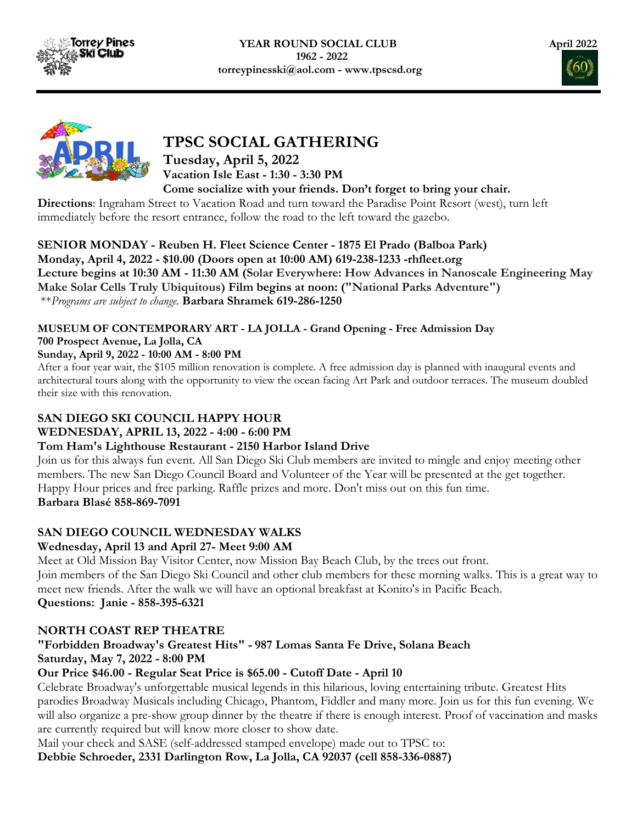





# TPSC SOCIAL GATHERING

### Tuesday, April 5, 2022 Vacation Isle East - 1:30 - 3:30 PM Come socialize with your friends. Don't forget to bring your chair.

Directions: Ingraham Street to Vacation Road and turn toward the Paradise Point Resort (west), turn left immediately before the resort entrance, follow the road to the left toward the gazebo.

SENIOR MONDAY - Reuben H. Fleet Science Center - 1875 El Prado (Balboa Park) Monday, April 4, 2022 - \$10.00 (Doors open at 10:00 AM) 619-238-1233 -rhfleet.org Lecture begins at 10:30 AM - 11:30 AM (Solar Everywhere: How Advances in Nanoscale Engineering May Make Solar Cells Truly Ubiquitous) Film begins at noon: ("National Parks Adventure") \*\*Programs are subject to change. Barbara Shramek 619-286-1250

### MUSEUM OF CONTEMPORARY ART - LA JOLLA - Grand Opening - Free Admission Day 700 Prospect Avenue, La Jolla, CA

### Sunday, April 9, 2022 - 10:00 AM - 8:00 PM

After a four year wait, the \$105 million renovation is complete. A free admission day is planned with inaugural events and architectural tours along with the opportunity to view the ocean facing Art Park and outdoor terraces. The museum doubled their size with this renovation.

# SAN DIEGO SKI COUNCIL HAPPY HOUR

## WEDNESDAY, APRIL 13, 2022 - 4:00 - 6:00 PM

## Tom Ham's Lighthouse Restaurant - 2150 Harbor Island Drive

Join us for this always fun event. All San Diego Ski Club members are invited to mingle and enjoy meeting other members. The new San Diego Council Board and Volunteer of the Year will be presented at the get together. Happy Hour prices and free parking. Raffle prizes and more. Don't miss out on this fun time. Barbara Blasé 858-869-7091

# SAN DIEGO COUNCIL WEDNESDAY WALKS

## Wednesday, April 13 and April 27- Meet 9:00 AM

Meet at Old Mission Bay Visitor Center, now Mission Bay Beach Club, by the trees out front. Join members of the San Diego Ski Council and other club members for these morning walks. This is a great way to meet new friends. After the walk we will have an optional breakfast at Konito's in Pacific Beach. Questions: Janie - 858-395-6321

# NORTH COAST REP THEATRE

# "Forbidden Broadway's Greatest Hits" - 987 Lomas Santa Fe Drive, Solana Beach Saturday, May 7, 2022 - 8:00 PM

## Our Price \$46.00 - Regular Seat Price is \$65.00 - Cutoff Date - April 10

Celebrate Broadway's unforgettable musical legends in this hilarious, loving entertaining tribute. Greatest Hits parodies Broadway Musicals including Chicago, Phantom, Fiddler and many more. Join us for this fun evening. We will also organize a pre-show group dinner by the theatre if there is enough interest. Proof of vaccination and masks are currently required but will know more closer to show date.

Mail your check and SASE (self-addressed stamped envelope) made out to TPSC to:

Debbie Schroeder, 2331 Darlington Row, La Jolla, CA 92037 (cell 858-336-0887)